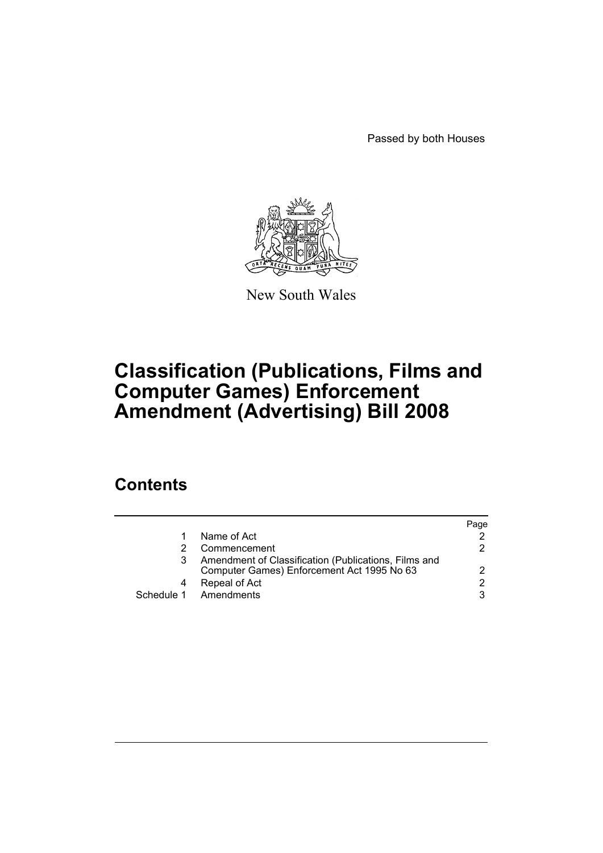Passed by both Houses



New South Wales

# **Classification (Publications, Films and Computer Games) Enforcement Amendment (Advertising) Bill 2008**

## **Contents**

|   |                                                                                                    | Paqe |
|---|----------------------------------------------------------------------------------------------------|------|
| 1 | Name of Act                                                                                        |      |
|   | Commencement                                                                                       | 2.   |
|   | Amendment of Classification (Publications, Films and<br>Computer Games) Enforcement Act 1995 No 63 | 2    |
|   | Repeal of Act                                                                                      | 2    |
|   | Schedule 1 Amendments                                                                              | 3    |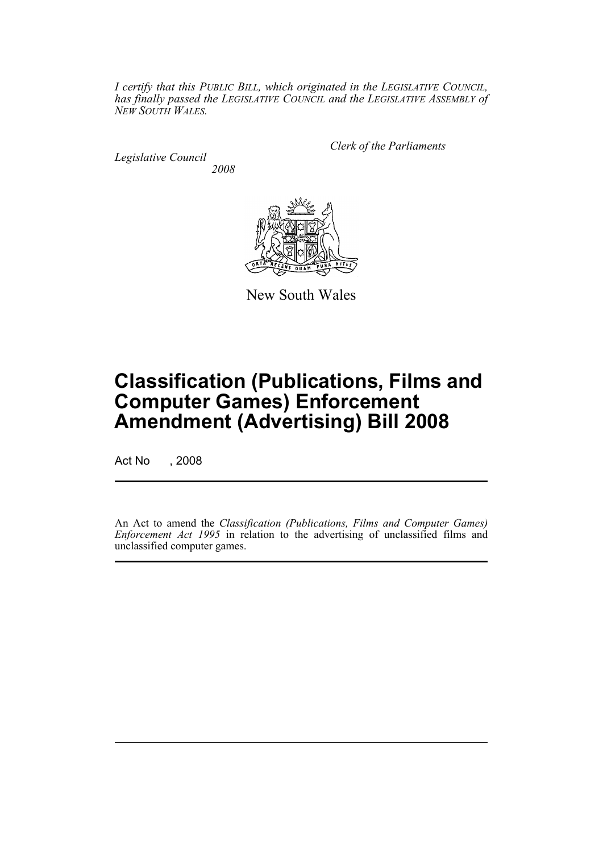*I certify that this PUBLIC BILL, which originated in the LEGISLATIVE COUNCIL, has finally passed the LEGISLATIVE COUNCIL and the LEGISLATIVE ASSEMBLY of NEW SOUTH WALES.*

*Legislative Council 2008* *Clerk of the Parliaments*



New South Wales

## **Classification (Publications, Films and Computer Games) Enforcement Amendment (Advertising) Bill 2008**

Act No , 2008

An Act to amend the *Classification (Publications, Films and Computer Games) Enforcement Act 1995* in relation to the advertising of unclassified films and unclassified computer games.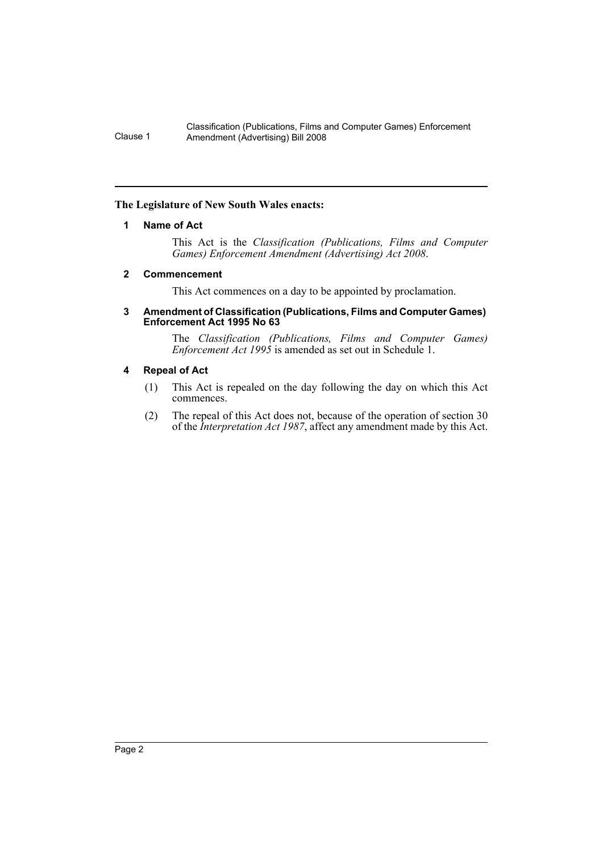#### Classification (Publications, Films and Computer Games) Enforcement Clause 1 Amendment (Advertising) Bill 2008

### <span id="page-2-0"></span>**The Legislature of New South Wales enacts:**

### **1 Name of Act**

This Act is the *Classification (Publications, Films and Computer Games) Enforcement Amendment (Advertising) Act 2008*.

### <span id="page-2-1"></span>**2 Commencement**

This Act commences on a day to be appointed by proclamation.

#### <span id="page-2-2"></span>**3 Amendment of Classification (Publications, Films and Computer Games) Enforcement Act 1995 No 63**

The *Classification (Publications, Films and Computer Games) Enforcement Act 1995* is amended as set out in Schedule 1.

### <span id="page-2-3"></span>**4 Repeal of Act**

- (1) This Act is repealed on the day following the day on which this Act commences.
- (2) The repeal of this Act does not, because of the operation of section 30 of the *Interpretation Act 1987*, affect any amendment made by this Act.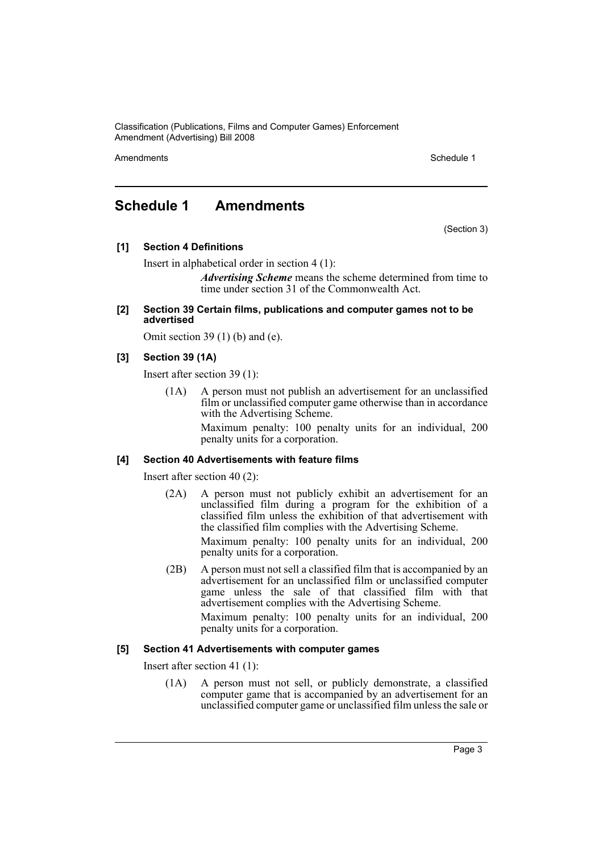Classification (Publications, Films and Computer Games) Enforcement Amendment (Advertising) Bill 2008

Amendments **Amendments** Schedule 1

### <span id="page-3-0"></span>**Schedule 1 Amendments**

(Section 3)

**[1] Section 4 Definitions**

Insert in alphabetical order in section 4 (1):

*Advertising Scheme* means the scheme determined from time to time under section 31 of the Commonwealth Act.

**[2] Section 39 Certain films, publications and computer games not to be advertised**

Omit section 39 (1) (b) and (e).

### **[3] Section 39 (1A)**

Insert after section 39 (1):

(1A) A person must not publish an advertisement for an unclassified film or unclassified computer game otherwise than in accordance with the Advertising Scheme.

> Maximum penalty: 100 penalty units for an individual, 200 penalty units for a corporation.

### **[4] Section 40 Advertisements with feature films**

Insert after section 40 (2):

- (2A) A person must not publicly exhibit an advertisement for an unclassified film during a program for the exhibition of a classified film unless the exhibition of that advertisement with the classified film complies with the Advertising Scheme. Maximum penalty: 100 penalty units for an individual, 200 penalty units for a corporation.
- (2B) A person must not sell a classified film that is accompanied by an advertisement for an unclassified film or unclassified computer game unless the sale of that classified film with that advertisement complies with the Advertising Scheme.

Maximum penalty: 100 penalty units for an individual, 200 penalty units for a corporation.

### **[5] Section 41 Advertisements with computer games**

Insert after section 41 (1):

(1A) A person must not sell, or publicly demonstrate, a classified computer game that is accompanied by an advertisement for an unclassified computer game or unclassified film unless the sale or